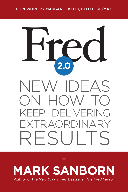#### Foreword by Margaret Kelly, Ceo oF re/MaX



## **mark Sanborn** Author of the *New York Times* Bestseller *The Fred Factor*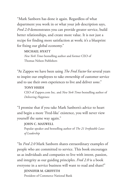"Mark Sanborn has done it again. Regardless of what department you work in or what your job description says, *Fred 2.0* demonstrates you can provide greater service, build better relationships, and create more value. It is not just a recipe for finding more satisfaction at work; it's a blueprint for fixing our global economy."

#### **Michael Hyatt**

*New York Times* bestselling author and former CEO of Thomas Nelson Publishers

"At Zappos we have been using *The Fred Factor* for several years to inspire our employees to take ownership of customer service and to use their own experiences to live and deliver *wow*."

#### **Tony Hsieh** CEO of Zappos.com Inc. and *New York Times* bestselling author of *Delivering Happiness*

"I promise that if you take Mark Sanborn's advice to heart and begin a more 'Fred-like' existence, you will never view yourself the same way again."

#### **John C. Maxwell**

Popular speaker and bestselling author of *The 21 Irrefutable Laws of Leadership*

"In *Fred 2.0* Mark Sanborn shares extraordinary examples of people who are committed to service. This book encourages us as individuals and companies to live with intent, passion, and integrity as our guiding principles. *Fred 2.0* is a book everyone in a service business will want to read and share!"

#### **Jennifer M. Griffith**

President of Commerce National Bank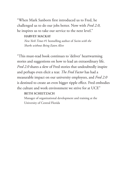"When Mark Sanborn first introduced us to Fred, he challenged us to do our jobs better. Now with *Fred 2.0*, he inspires us to take our service to the next level."

#### **Harvey Mackay**

*New York Times* #1 bestselling author of *Swim with the Sharks without Being Eaten Alive*

"This must-read book continues to 'deliver' heartwarming stories and suggestions on how to lead an extraordinary life. *Fred 2.0* shares a slew of Fred stories that undoubtedly inspire and perhaps even elicit a tear. *The Fred Factor* has had a measurable impact on our university employees, and *Fred 2.0* is destined to create an even bigger ripple effect. Fred embodies the culture and work environment we strive for at UCF."

#### **Beth Scheitzach**

Manager of organizational development and training at the University of Central Florida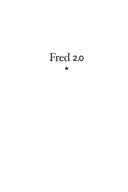## Fred 2.0  $\bigstar$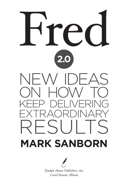

*Tyndale House Publishers, Inc. Carol Stream, Illinois*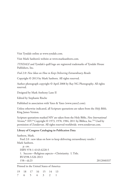Visit Tyndale online at www.tyndale.com.

Visit Mark Sanborn's website at www.marksanborn.com.

*TYNDALE* and Tyndale's quill logo are registered trademarks of Tyndale House Publishers, Inc.

*Fred 2.0: New Ideas on How to Keep Delivering Extraordinary Results*

Copyright © 2013 by Mark Sanborn. All rights reserved.

Author photograph copyright © April 2008 by Ray NG Photography. All rights reserved.

Designed by Mark Anthony Lane II

Edited by Stephanie Rische

Published in association with Yates & Yates (www.yates2.com).

Unless otherwise indicated, all Scripture quotations are taken from the *Holy Bible*, King James Version.

Scripture quotations marked NIV are taken from the Holy Bible, *New International Version*,® *NIV*.® Copyright © 1973, 1978, 1984, 2011 by Biblica, Inc.<sup>™</sup> Used by permission of Zondervan. All rights reserved worldwide. www.zondervan.com.

#### **Library of Congress Cataloging-in-Publication Data**

Sanborn, Mark. Fred 2.0 : new ideas on how to keep delivering extraordinary results / Mark Sanborn. p. cm. ISBN 978-1-4143-6220-5 1. Success—Religious aspects—Christianity. I. Title. BV4598.3.S26 2013 158—dc23 2012040337

Printed in the United States of America

19 18 17 16 15 14 13 7 6 5 4 3 2 1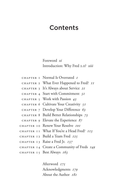### Contents

 [Foreword](#page-9-0) *xi*  [Introduction: Why Fred 2.0?](#page-11-0) *xiii*

| CHAPTER I Normal Is Overrated I            |
|--------------------------------------------|
| CHAPTER 2 What Ever Happened to Fred? II   |
| CHAPTER 3 It's Always about Service 21     |
| CHAPTER 4 Start with Commitment $3I$       |
| CHAPTER 5 Work with Passion $43$           |
| CHAPTER 6 Cultivate Your Creativity 51     |
| CHAPTER 7 Develop Your Difference 63       |
| CHAPTER 8 Build Better Relationships 73    |
| CHAPTER 9 Elevate the Experience $87$      |
| CHAPTER 10 Renew Your Resolve 101          |
| CHAPTER II What If You're a Head Fred? II3 |
| CHAPTER 12 Build a Team Fred 125           |
| CHAPTER 13 Raise a Fred Jr. 137            |
| CHAPTER 14 Create a Community of Freds 149 |
| CHAPTER 15 Best Always 163                 |

 Afterword *175* Acknowledgments *179* About the Author *181*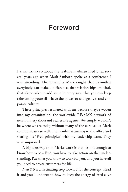## <span id="page-9-0"></span>Foreword

I first learned about the real-life mailman Fred Shea several years ago when Mark Sanborn spoke at a conference I was attending. The principles Mark taught that day—that everybody can make a difference, that relationships are vital, that it's possible to add value in every area, that you can keep reinventing yourself—have the power to change lives and corporate cultures.

These principles resonated with me because they're woven into my organization, the worldwide RE/MAX network of nearly ninety thousand real estate agents. We simply wouldn't be where we are today without many of the core values Mark communicates so well. I remember returning to the office and sharing his "Fred principles" with my leadership team. They were impressed.

A big takeaway from Mark's work is that it's not enough to know how to be a Fred; you have to take action on that understanding. Put what you know to work for you, and you have all you need to create customers for life.

*Fred 2.0* is a fascinating step forward for the concept. Read it and you'll understand how to keep the energy of Fred alive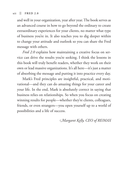#### **xii || Fred 2.0**

and well in your organization, year after year. The book serves as an advanced course in how to go beyond the ordinary to create extraordinary experiences for your clients, no matter what type of business you're in. It also teaches you to dig deeper within to change your attitude and outlook so you can share the Fred message with others.

*Fred 2.0* explains how maintaining a creative focus on service can drive the results you're seeking. I think the lessons in this book will truly benefit readers, whether they work on their own or lead massive organizations. It's all here—it's just a matter of absorbing the message and putting it into practice every day.

Mark's Fred principles are insightful, practical, and motivational—and they can do amazing things for your career and your life. In the end, Mark is absolutely correct in saying that business relies on relationships. So when you focus on creating winning results for people—whether they're clients, colleagues, friends, or even strangers—you open yourself up to a world of possibilities and a life of success.

#### *Margaret Kelly, CEO of RE/MAX*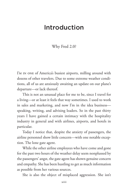## <span id="page-11-0"></span>Introduction

Why Fred 2.0?

I'm IN ONE of America's busiest airports, milling around with dozens of other travelers. Due to some extreme weather conditions, all of us are anxiously awaiting an update on our plane's departure—or lack thereof.

This is not an unusual place for me to be, since I travel for a living—or at least it feels that way sometimes. I used to work in sales and marketing, and now I'm in the idea business speaking, writing, and advising leaders. So in the past thirty years I have gained a certain intimacy with the hospitality industry in general and with airlines, airports, and hotels in particular.

Today I notice that, despite the anxiety of passengers, the airline personnel show little concern—with one notable exception. The lone gate agent.

While the other airline employees who have come and gone for the past two hours of the weather delay seem nonplussed by the passengers' angst, the gate agent has shown genuine concern and empathy. She has been hustling to get as much information as possible from her various sources.

She is also the object of misplaced aggression. She isn't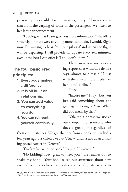#### **xiv || Fred 2.0**

personally responsible for the weather, but you'd never know that from the carping of some of the passengers. We listen to her latest announcement.

"I apologize that I can't give you more information," she offers sincerely. "If there were anything more I could do, I would. Right now I'm waiting to hear from our pilots if and when the flight will be departing. I will provide an update every ten minutes, even if the best I can offer is 'I still don't know.'"

#### **The four basic Fred principles:**

- **1. Everybody makes a difference.**
- **2. It is all built on relationship.**
- **3. You can add value to everything you do.**
- **4. You can reinvent yourself continually.**

The man next to me is wearing a sport coat without a tie. He says, almost to himself, "I just wish there were more Freds like her at this airline"

#### *Freds?*

"Excuse me," I say, "but you just said something about the gate agent being a *Fred*. What did you mean by that?"

"Oh, it's a phrase we use at our company for someone who does a great job regardless of

their circumstances. We got the idea from a book we studied a few years ago. It's called *The Fred Factor*, and it's about an amazing postal carrier in Denver."1

"I'm familiar with the book." I smile. "I wrote it."

"No kidding? Hey, great to meet you!" He reaches out to shake my hand. "Your book raised our awareness about how each of us could deliver more value and be of greater service to

<sup>1</sup> If you would like to know the story of the real-life Fred the Postman, you can download a free copy of *The Fred Factor* at http://www.marksanborn.com/fredfactorstory.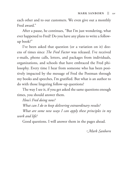each other and to our customers. We even give out a monthly Fred award."

After a pause, he continues, "But I'm just wondering, what ever happened to Fred? Do you have any plans to write a followup book?"

I've been asked that question (or a variation on it) dozens of times since *The Fred Factor* was released. I've received e-mails, phone calls, letters, and packages from individuals, organizations, and schools that have embraced the Fred philosophy. Every time I hear from someone who has been positively impacted by the message of Fred the Postman through my books and speeches, I'm gratified. But what is an author to do with those lingering follow-up questions?

The way I see it, if you get asked the same questions enough times, you should answer them.

*How's Fred doing now? What can I do to keep delivering extraordinary results? What are some new ways I can apply these principles in my work and life?*

Good questions. I will answer them in the pages ahead.

*Mark Sanborn*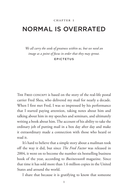#### CHAPTER I

## <span id="page-15-0"></span>Normal Is Overrated

*We all carry the seeds of greatness within us, but we need an image as a point of focus in order that they may sprout.* **EPICTETUS** 

THE FRED CONCEPT is based on the story of the real-life postal carrier Fred Shea, who delivered my mail for nearly a decade. When I first met Fred, I was so impressed by his performance that I started paying attention, taking notes about him and talking about him in my speeches and seminars, and ultimately writing a book about him. The account of his ability to take the ordinary job of putting mail in a box day after day and make it extraordinary made a connection with those who heard or read it.

It's hard to believe that a simple story about a mailman took off the way it did, but since *The Fred Factor* was released in 2004, it went on to become the number six bestselling business book of the year, according to *Businessweek* magazine. Since that time it has sold more than 1.6 million copies in the United States and around the world.

I share that because it is gratifying to know that someone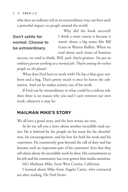#### **2 || Fred 2.0**

who does an ordinary job in an extraordinary way can have such a powerful impact on people around the world.

#### **Don't settle for normal. Choose to be extraordinary.**

Why did the book succeed? I think a main reason is because it wasn't about a big name like Bill Gates or Warren Buffett. When we read about such titans of business

success, we tend to think, *Well, yeah, they're geniuses. I'm just an ordinary person working at a normal job. They're among the richest people on the planet!*

What does Fred have to work with? He has a blue-gray uniform and a bag. That's pretty much it once he leaves the substation. And yet he makes artistry out of his work.

If Fred can be extraordinary in what could be a tedious job, then there is no reason why you and I can't reinvent our own work, whatever it may be.

#### **Mailman Mike's Story**

We all love a good story, and the best stories are true.

So let me tell you a story about another incredible mail carrier. He is beloved by the people on his route for his cheerfulness, his encouragement, and his love for both his work and his customers. He consistently goes beyond the call of duty and has become such an important part of his customers' lives that they tell others about the incredible work he does. His commitment to his job and his community has even gotten him media attention.

He's Mailman Mike, from West Covina, California.

I learned about Mike from Angela Carter, who contacted me after reading *The Fred Factor*.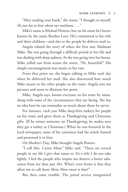"After reading your book," she wrote, "I thought to myself, *He just has to hear about our mailman. . . .*"

Mike's name is Michael Flowers, but on his route he's better known by the name Brother Love. He's committed to his wife and three children—and also to the people he delivers mail to.

Angela related the story of when she first met Mailman Mike. She was going through a difficult period in her life and was dealing with deep sadness. As she was going into her house, Mike yelled out from across the street, "Hi, beautiful!" His simple encouragement was music to her ears.

From that point on, she began talking to Mike each day when he delivered her mail. She also discovered how much Mike meant to the other people on the route. Angela sent me pictures and notes to illustrate her point.

Mike, Angela says, knows everyone on his route by name, along with some of the circumstances they are facing. She has no idea how he can remember so much about those he serves.

For instance, each year Mike deep-fries turkeys for people on his route and gives them as Thanksgiving and Christmas gifts. (If he misses someone on Thanksgiving, he makes sure they get a turkey at Christmas.) When he was featured in the local newspaper, some of his customers had the article framed and presented it to him.

On Mother's Day, Mike brought Angela flowers.

"I call Mrs. Carter *Mom*," Mike said. "There are several people in my life I give that name to. It's a title I do not take lightly. I feel the people who inspire me deserve a better salutation from me than just *Mrs.* What's even better is that they allow me to call them *Mom*. How sweet is that?"

But then came trouble. The postal service reorganized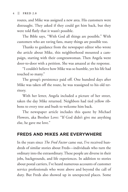routes, and Mike was assigned a new area. His customers were distraught. They asked if they could get him back, but they were told flatly that it wasn't possible.

The Bible says, "With God all things are possible." With customers who are raving fans, many things are possible too.

Thanks to guidance from the newspaper editor who wrote the article about Mike, this neighborhood mounted a campaign, starting with their congresswoman. Then Angela went door-to-door with a petition. She was amazed at the response.

"I couldn't believe how Mike was so humble, yet his life had touched so many."

The group's persistence paid off. One hundred days after Mike was taken off the route, he was reassigned to his old territory.

With her letter, Angela included a picture of her street, taken the day Mike returned. Neighbors had tied yellow ribbons to every tree and bush to welcome him back.

The newspaper article includes this quote by Michael Flowers, aka Brother Love: "If God didn't give me anything else, he gave me love."

#### **Freds and Mikes Are Everywhere**

In the years since *The Fred Factor* came out, I've received hundreds of similar stories about Freds—individuals who turn the ordinary into the extraordinary. These people are diverse in their jobs, backgrounds, and life experiences. In addition to stories about postal carriers, I've heard numerous accounts of customer service professionals who went above and beyond the call of duty. But Freds also showed up in unexpected places. Some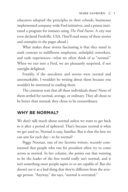educators adopted the principles in their schools, businesses implemented company-wide Fred initiatives, and a prison instituted a program for inmates using *The Fred Factor*. A city was even declared Fredville, USA. (You'll read many of these stories and examples in the pages ahead.)

What makes these stories fascinating is that they stand in stark contrast to indifferent employees, unhelpful coworkers, and rude experiences—what we often think of as "normal." When we run into a Fred, we are pleasantly surprised, if not outright delighted.

Frankly, if the anecdotes and stories were normal and unremarkable, I wouldn't be writing about them because you wouldn't be interested in reading them.

The common trait that all these individuals share? None of them settled for normal, average, or ordinary. They all chose to be better than normal; they chose to be extraordinary.

#### **Why Be Normal?**

We don't talk much about normal unless we want to get back to it after a period of upheaval. That's because normal is what we get used to. Normal is easy, familiar. But is that the best we can aim for each day—to be normal?

Peggy Noonan, one of my favorite writers, recently commented that people who run for president often try to come across as normal. In her column, she points out that wanting to be the leader of the free world really isn't normal, and it isn't something most people aspire to or are capable of. But she doesn't see it as a bad thing that they're different from the average person. "Anyway," she says, "normal is overrated."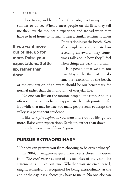#### **6 || Fred 2.0**

I love to ski, and being from Colorado, I get many opportunities to do so. When I meet people on ski lifts, they tell me they love the mountain experience and are sad when they have to head home to normal. I hear a similar sentiment when

**If you want more out of life, go for more. Raise your expectations. Settle up, rather than down.**

I'm vacationing at the beach. Even after people are congratulated on receiving an award, they sometimes talk about how they'll feel when things are back to normal.

Is it possible that we aim too low? Maybe the thrill of the ski run, the relaxation of the beach,

or the exhilaration of an award should be our benchmark for normal rather than the monotony of everyday life.

No one can live on the mountaintop all the time. And it is often said that valleys help us appreciate the high points in life. But while that may be true, too many people seem to accept the valley as a permanent residence.

I like to *aspire higher*. If you want more out of life, go for more. Raise your expectations. Settle up, rather than down.

In other words, *recalibrate to great*.

#### **Pursue Extraordinary**

"Nobody can prevent you from choosing to be extraordinary."

In 2004, management guru Tom Peters chose this quote from *The Fred Factor* as one of his favorites of the year. The statement is simple but true. Whether you are encouraged, taught, rewarded, or recognized for being extraordinary, at the end of the day it is a choice *you* have to make. No one else can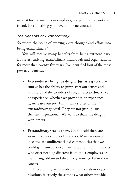make it for you—not your employer, not your spouse, not your friend. It's something you have to pursue yourself.

#### *The Benefits of Extraordinary*

So what's the point of exerting extra thought and effort into being extraordinary?

You will receive many benefits from being extraordinary. But after studying extraordinary individuals and organizations for more than twenty-five years, I've identified four of the most powerful benefits.

- **1. Extraordinary brings us delight.** Just as a spectacular sunrise has the ability to jump-start our senses and remind us of the wonders of life, an extraordinary act or experience, whether we provide it or experience it, increases our joy. That is why stories of the extraordinary go viral. They are not just unusual they are inspirational. We want to share the delight with others.
- **2. Extraordinary sets us apart.** Goethe said there are so many echoes and so few voices. Many resources, it seems, are undifferentiated commodities that we could get from anyone, anywhere, anytime. Employees who offer nothing different from other employees are interchangeable—and they likely won't go far in their careers.

If everything we provide, as individuals or organizations, is exactly the same as what others provide,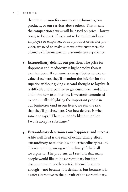#### **8 || Fred 2.0**

there is no reason for customers to choose us, our products, or our services above others. That means the competition always will be based on price—lowest price, to be exact. If we want to be in demand as an employee or employer, or as a product or service provider, we need to make sure we offer customers the ultimate differentiator: an extraordinary experience.

- **3. Extraordinary defends our position.** The price for sloppiness and mediocrity is higher today than it ever has been. If consumers can get better service or value elsewhere, they'll abandon the inferior for the superior without giving a second thought to loyalty. It is difficult and expensive to get customers, land a job, and form new relationships. If we aren't committed to continually delighting the important people in our businesses (and in our lives), we run the risk that they'll go elsewhere. Our best defense is when someone says, "There is nobody like him or her. I won't accept a substitute."
- **4. Extraordinary determines our happiness and success.** A life well lived is the sum of extraordinary effort, extraordinary relationships, and extraordinary results. There's nothing wrong with ordinary if that's all we aspire to. The problem, as I see it, is that many people would like to be extraordinary but fear disappointment, so they settle. Normal becomes enough—not because it is desirable, but because it is a safer alternative to the pursuit of the extraordinary.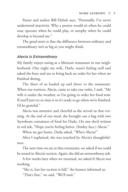Pastor and author Bill Hybels says, "Personally, I've never understood inactivity. Why a person would sit when he could soar, spectate when he could play, or atrophy when he could develop is beyond me."

The good news is that the difference between ordinary and extraordinary isn't as big as you might think.

#### *Alecia Is Extraordinary*

My family enjoys eating at a Mexican restaurant in our neighborhood. One night my wife, Darla, wasn't feeling well and asked the boys and me to bring back an order for her when we finished dining.

The three of us loaded up and drove to the restaurant. When our waitress, Alecia, came to take our order, I said, "My wife is under the weather, so I'm going to order her food now. If you'll just try to time it so it's ready to go when we're finished, I'd be grateful."

Alecia was attentive and cheerful as she served us that evening. At the end of our meal, she brought out a bag with two Styrofoam containers of food for Darla. On one she'd written in red ink, "Hope you're feeling better. {Smiley face.} Alecia."

When we got home, Darla asked, "Who's Alecia?"

After I explained, she was touched by Alecia's thoughtfulness.

The next time we ate at that restaurant, we asked if we could be seated in Alecia's section. Again, she did an extraordinary job.

A few weeks later when we returned, we asked if Alecia was working.

"She is, but her section is full," the hostess informed us. "That's fine," we said. "We'll wait."